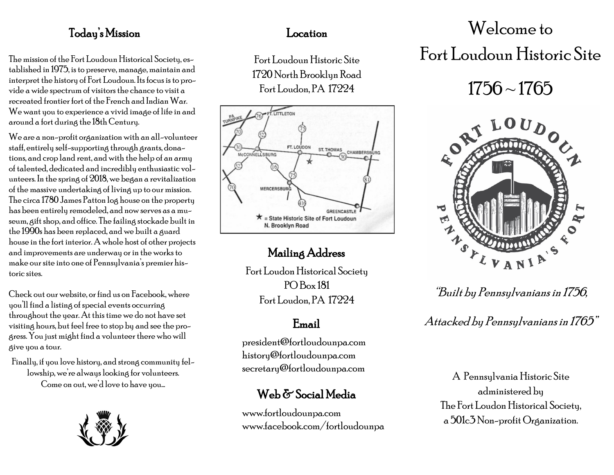### Today's Mission Location

The mission of the Fort Loudoun Historical Society, established in 1975, is to preserve, manage, maintain and interpret the history of Fort Loudoun. Its focus is to provide a wide spectrum of visitors the chance to visit a recreated frontier fort of the French and Indian War. We want you to experience a vivid image of life in and around a fort during the 18th Century.

We are a non-profit organization with an all-volunteer staff, entirely self-supporting through grants, donations, and crop land rent, and with the help of an army of talented, dedicated and incredibly enthusiastic volunteers. In the spring of 2018, we began a revitalization of the massive undertaking of living up to our mission. The circa 1780 James Patton log house on the property has been entirely remodeled, and now serves as a museum, gift shop, and office. The failing stockade built in the 1990s has been replaced, and we built a guard house in the fort interior. A whole host of other projects and improvements are underway or in the works to make our site into one of Pennsylvania's premier historic sites.

Check out our website, or find us on Facebook, where you'll find a listing of special events occurring throughout the year. At this time we do not have set visiting hours, but feel free to stop by and see the progress. You just might find a volunteer there who will give you a tour.

Finally, if you love history, and strong community fellowship, we're always looking for volunteers. Come on out, we'd love to have you…



Fort Loudoun Historic Site 1720 North Brooklyn Road Fort Loudon, PA 17224



### Mailing Address

Fort Loudon Historical Society PO Box 181 Fort Loudon, PA 17224

### Email

president@fortloudounpa.com history@fortloudounpa.com secretary@fortloudounpa.com

### Web & Social Media

www.fortloudounpa.com www.facebook.com/fortloudounpa

# Welcome to

## Fort Loudoun Historic Site

# $1756 \sim 1765$



"Built by Pennsylvanians in 1756,

Attacked by Pennsylvanians in 1765"

A Pennsylvania Historic Site administered by The Fort Loudon Historical Society, a 501c3 Non-profit Organization.